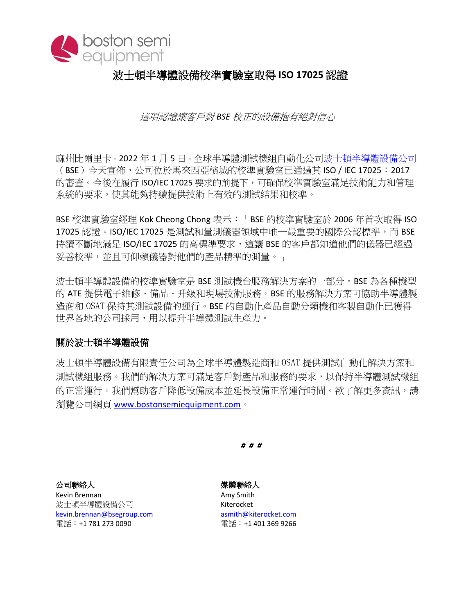

## 波士頓半導體設備校準實驗室取得 **ISO 17025** 認證

這項認證讓客戶對 *BSE* 校正的設備抱有絕對信心

麻州比爾里卡 - 2022 年 1 月 5 日 - 全球半導體測試機組自動化公[司波士頓半導體設備公](http://www.bostonsemiequipment.com/)司 (BSE)今天宣佈,公司位於馬來西亞檳城的校準實驗室已通過其 ISO / IEC 17025:2017 的審查。今後在履行 ISO/IEC 17025 要求的前提下,可確保校準實驗室滿足技術能力和管理 系統的要求,使其能夠持續提供技術上有效的測試結果和校準。

BSE 校準實驗室經理 Kok Cheong Chong 表示:「BSE 的校準實驗室於 2006 年首次取得 ISO 17025 認證。ISO/IEC 17025 是測試和量測儀器領域中唯一最重要的國際公認標準,而 BSE 持續不斷地滿足 ISO/IEC 17025 的高標準要求,這讓 BSE 的客戶都知道他們的儀器已經過 妥善校準,並且可仰賴儀器對他們的產品精準的測量。」

波士頓半導體設備的校準實驗室是 BSE 測試機台服務解決方案的一部分。BSE 為各種機型 的 ATE 提供電子維修、備品、升級和現場技術服務。BSE 的服務解決方案可協助半導體製 造商和 OSAT 保持其測試設備的運行。BSE 的自動化產品自動分類機和客製自動化已獲得 世界各地的公司採用,用以提升半導體測試生產力。

## 關於波士頓半導體設備

波士頓半導體設備有限責任公司為全球半導體製造商和 OSAT 提供測試自動化解決方案和 測試機組服務。我們的解決方案可滿足客戶對產品和服務的要求,以保持半導體測試機組 的正常運行。我們幫助客戶降低設備成本並延長設備正常運行時間。欲了解更多資訊,請 瀏覽公司網頁 [www.bostonsemiequipment.com](http://www.bostonsemiequipment.com/)。

*# # #*

公司聯絡人 きょうしょう かいしゃ はらく 媒體聯絡人

波士頓半導體設備公司 インストランド Kiterocket [kevin.brennan@bsegroup.com](mailto:kevin.brennan@bsegroup.com%20%09asmith@kiterocket.com) asmith@kiterocket.com 電話:+1 781 273 0090 電話:+1 401 369 9266

Kevin Brennan **Amy Smith**